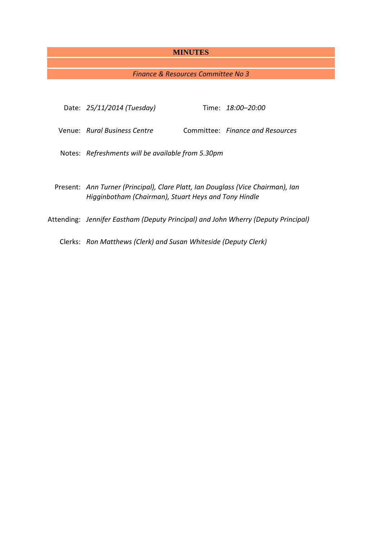# **MINUTES**

# *Finance & Resources Committee No 3*

| Date: 25/11/2014 (Tuesday)                                                                                                              |  | Time: 18:00-20:00                |
|-----------------------------------------------------------------------------------------------------------------------------------------|--|----------------------------------|
| Venue: Rural Business Centre                                                                                                            |  | Committee: Finance and Resources |
| Notes: Refreshments will be available from 5.30pm                                                                                       |  |                                  |
|                                                                                                                                         |  |                                  |
| Present: Ann Turner (Principal), Clare Platt, Ian Douglass (Vice Chairman), Ian<br>Higginbotham (Chairman), Stuart Heys and Tony Hindle |  |                                  |
| Attending: Jennifer Eastham (Deputy Principal) and John Wherry (Deputy Principal)                                                       |  |                                  |
|                                                                                                                                         |  |                                  |

Clerks: *Ron Matthews (Clerk) and Susan Whiteside (Deputy Clerk)*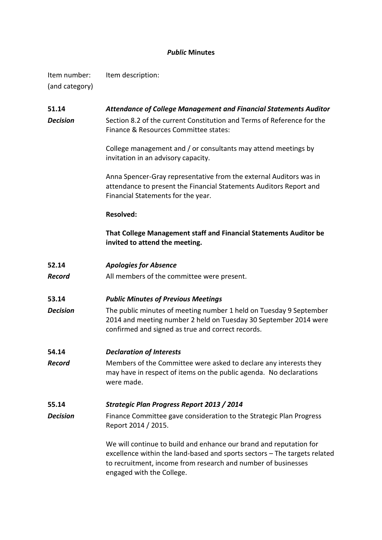# *Public* **Minutes**

Item number: Item description: (and category)

**51.14** *Attendance of College Management and Financial Statements Auditor Decision* Section 8.2 of the current Constitution and Terms of Reference for the Finance & Resources Committee states:

> College management and / or consultants may attend meetings by invitation in an advisory capacity.

Anna Spencer-Gray representative from the external Auditors was in attendance to present the Financial Statements Auditors Report and Financial Statements for the year.

### **Resolved:**

**That College Management staff and Financial Statements Auditor be invited to attend the meeting.**

**52.14** *Apologies for Absence*

*Record* All members of the committee were present.

**53.14** *Public Minutes of Previous Meetings*

**Decision** The public minutes of meeting number 1 held on Tuesday 9 September 2014 and meeting number 2 held on Tuesday 30 September 2014 were confirmed and signed as true and correct records.

**54.14** *Declaration of Interests*

**Record** Members of the Committee were asked to declare any interests they may have in respect of items on the public agenda. No declarations were made.

## **55.14** *Strategic Plan Progress Report 2013 / 2014*

**Decision** Finance Committee gave consideration to the Strategic Plan Progress Report 2014 / 2015.

> We will continue to build and enhance our brand and reputation for excellence within the land-based and sports sectors – The targets related to recruitment, income from research and number of businesses engaged with the College.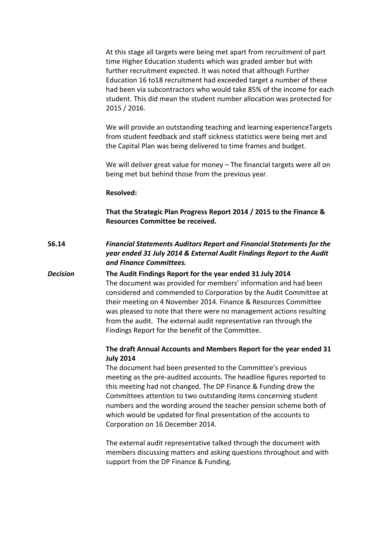At this stage all targets were being met apart from recruitment of part time Higher Education students which was graded amber but with further recruitment expected. It was noted that although Further Education 16 to18 recruitment had exceeded target a number of these had been via subcontractors who would take 85% of the income for each student. This did mean the student number allocation was protected for 2015 / 2016.

We will provide an outstanding teaching and learning experienceTargets from student feedback and staff sickness statistics were being met and the Capital Plan was being delivered to time frames and budget.

We will deliver great value for money – The financial targets were all on being met but behind those from the previous year.

### **Resolved:**

**That the Strategic Plan Progress Report 2014 / 2015 to the Finance & Resources Committee be received.**

# **56.14** *Financial Statements Auditors Report and Financial Statements for the year ended 31 July 2014 & External Audit Findings Report to the Audit and Finance Committees.*

*Decision* **The Audit Findings Report for the year ended 31 July 2014**  The document was provided for members' information and had been considered and commended to Corporation by the Audit Committee at their meeting on 4 November 2014. Finance & Resources Committee was pleased to note that there were no management actions resulting from the audit. The external audit representative ran through the Findings Report for the benefit of the Committee.

## **The draft Annual Accounts and Members Report for the year ended 31 July 2014**

The document had been presented to the Committee's previous meeting as the pre-audited accounts. The headline figures reported to this meeting had not changed. The DP Finance & Funding drew the Committees attention to two outstanding items concerning student numbers and the wording around the teacher pension scheme both of which would be updated for final presentation of the accounts to Corporation on 16 December 2014.

The external audit representative talked through the document with members discussing matters and asking questions throughout and with support from the DP Finance & Funding.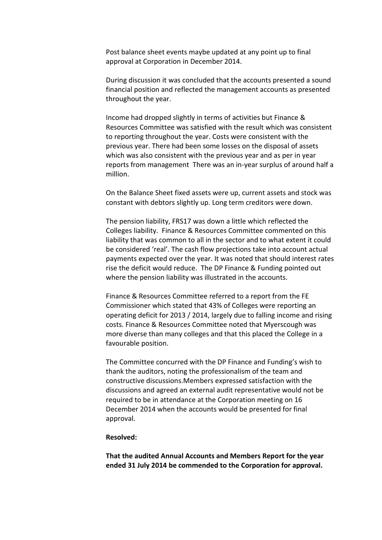Post balance sheet events maybe updated at any point up to final approval at Corporation in December 2014.

During discussion it was concluded that the accounts presented a sound financial position and reflected the management accounts as presented throughout the year.

Income had dropped slightly in terms of activities but Finance & Resources Committee was satisfied with the result which was consistent to reporting throughout the year. Costs were consistent with the previous year. There had been some losses on the disposal of assets which was also consistent with the previous year and as per in year reports from management There was an in-year surplus of around half a million.

On the Balance Sheet fixed assets were up, current assets and stock was constant with debtors slightly up. Long term creditors were down.

The pension liability, FRS17 was down a little which reflected the Colleges liability. Finance & Resources Committee commented on this liability that was common to all in the sector and to what extent it could be considered 'real'. The cash flow projections take into account actual payments expected over the year. It was noted that should interest rates rise the deficit would reduce. The DP Finance & Funding pointed out where the pension liability was illustrated in the accounts.

Finance & Resources Committee referred to a report from the FE Commissioner which stated that 43% of Colleges were reporting an operating deficit for 2013 / 2014, largely due to falling income and rising costs. Finance & Resources Committee noted that Myerscough was more diverse than many colleges and that this placed the College in a favourable position.

The Committee concurred with the DP Finance and Funding's wish to thank the auditors, noting the professionalism of the team and constructive discussions.Members expressed satisfaction with the discussions and agreed an external audit representative would not be required to be in attendance at the Corporation meeting on 16 December 2014 when the accounts would be presented for final approval.

#### **Resolved:**

**That the audited Annual Accounts and Members Report for the year ended 31 July 2014 be commended to the Corporation for approval.**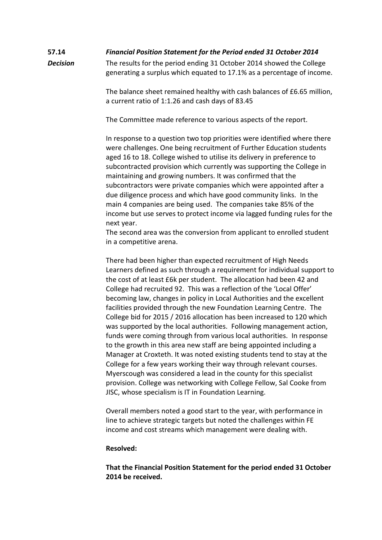# **57.14** *Financial Position Statement for the Period ended 31 October 2014*

**Decision** The results for the period ending 31 October 2014 showed the College generating a surplus which equated to 17.1% as a percentage of income.

> The balance sheet remained healthy with cash balances of £6.65 million, a current ratio of 1:1.26 and cash days of 83.45

The Committee made reference to various aspects of the report.

In response to a question two top priorities were identified where there were challenges. One being recruitment of Further Education students aged 16 to 18. College wished to utilise its delivery in preference to subcontracted provision which currently was supporting the College in maintaining and growing numbers. It was confirmed that the subcontractors were private companies which were appointed after a due diligence process and which have good community links. In the main 4 companies are being used. The companies take 85% of the income but use serves to protect income via lagged funding rules for the next year.

The second area was the conversion from applicant to enrolled student in a competitive arena.

There had been higher than expected recruitment of High Needs Learners defined as such through a requirement for individual support to the cost of at least £6k per student. The allocation had been 42 and College had recruited 92. This was a reflection of the 'Local Offer' becoming law, changes in policy in Local Authorities and the excellent facilities provided through the new Foundation Learning Centre. The College bid for 2015 / 2016 allocation has been increased to 120 which was supported by the local authorities. Following management action, funds were coming through from various local authorities. In response to the growth in this area new staff are being appointed including a Manager at Croxteth. It was noted existing students tend to stay at the College for a few years working their way through relevant courses. Myerscough was considered a lead in the county for this specialist provision. College was networking with College Fellow, Sal Cooke from JISC, whose specialism is IT in Foundation Learning.

Overall members noted a good start to the year, with performance in line to achieve strategic targets but noted the challenges within FE income and cost streams which management were dealing with.

### **Resolved:**

**That the Financial Position Statement for the period ended 31 October 2014 be received.**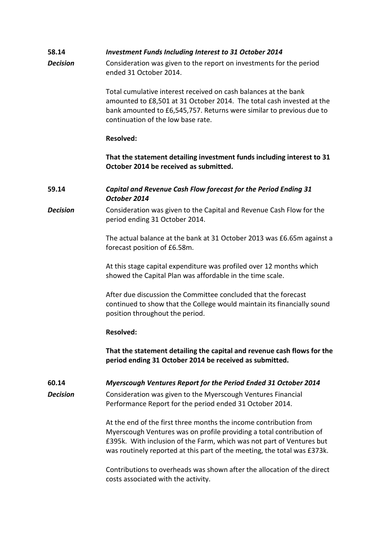| 58.14           | <b>Investment Funds Including Interest to 31 October 2014</b>                                                                                                                                                                                                                                  |
|-----------------|------------------------------------------------------------------------------------------------------------------------------------------------------------------------------------------------------------------------------------------------------------------------------------------------|
| <b>Decision</b> | Consideration was given to the report on investments for the period<br>ended 31 October 2014.                                                                                                                                                                                                  |
|                 | Total cumulative interest received on cash balances at the bank<br>amounted to £8,501 at 31 October 2014. The total cash invested at the<br>bank amounted to £6,545,757. Returns were similar to previous due to<br>continuation of the low base rate.                                         |
|                 | <b>Resolved:</b>                                                                                                                                                                                                                                                                               |
|                 | That the statement detailing investment funds including interest to 31<br>October 2014 be received as submitted.                                                                                                                                                                               |
| 59.14           | Capital and Revenue Cash Flow forecast for the Period Ending 31<br>October 2014                                                                                                                                                                                                                |
| <b>Decision</b> | Consideration was given to the Capital and Revenue Cash Flow for the<br>period ending 31 October 2014.                                                                                                                                                                                         |
|                 | The actual balance at the bank at 31 October 2013 was £6.65m against a<br>forecast position of £6.58m.                                                                                                                                                                                         |
|                 | At this stage capital expenditure was profiled over 12 months which<br>showed the Capital Plan was affordable in the time scale.                                                                                                                                                               |
|                 | After due discussion the Committee concluded that the forecast<br>continued to show that the College would maintain its financially sound<br>position throughout the period.                                                                                                                   |
|                 | <b>Resolved:</b>                                                                                                                                                                                                                                                                               |
|                 | That the statement detailing the capital and revenue cash flows for the<br>period ending 31 October 2014 be received as submitted.                                                                                                                                                             |
| 60.14           | Myerscough Ventures Report for the Period Ended 31 October 2014                                                                                                                                                                                                                                |
| <b>Decision</b> | Consideration was given to the Myerscough Ventures Financial<br>Performance Report for the period ended 31 October 2014.                                                                                                                                                                       |
|                 | At the end of the first three months the income contribution from<br>Myerscough Ventures was on profile providing a total contribution of<br>£395k. With inclusion of the Farm, which was not part of Ventures but<br>was routinely reported at this part of the meeting, the total was £373k. |
|                 | Contributions to overheads was shown after the allocation of the direct<br>costs associated with the activity.                                                                                                                                                                                 |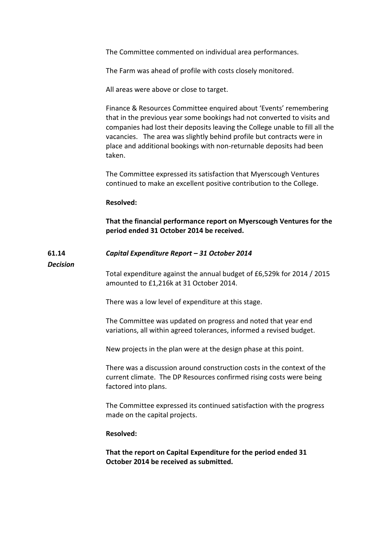The Committee commented on individual area performances.

The Farm was ahead of profile with costs closely monitored.

All areas were above or close to target.

Finance & Resources Committee enquired about 'Events' remembering that in the previous year some bookings had not converted to visits and companies had lost their deposits leaving the College unable to fill all the vacancies. The area was slightly behind profile but contracts were in place and additional bookings with non-returnable deposits had been taken.

The Committee expressed its satisfaction that Myerscough Ventures continued to make an excellent positive contribution to the College.

#### **Resolved:**

**That the financial performance report on Myerscough Ventures for the period ended 31 October 2014 be received.**

#### **61.14** *Capital Expenditure Report – 31 October 2014*

*Decision*

Total expenditure against the annual budget of £6,529k for 2014 / 2015 amounted to £1,216k at 31 October 2014.

There was a low level of expenditure at this stage.

The Committee was updated on progress and noted that year end variations, all within agreed tolerances, informed a revised budget.

New projects in the plan were at the design phase at this point.

There was a discussion around construction costs in the context of the current climate. The DP Resources confirmed rising costs were being factored into plans.

The Committee expressed its continued satisfaction with the progress made on the capital projects.

### **Resolved:**

**That the report on Capital Expenditure for the period ended 31 October 2014 be received as submitted.**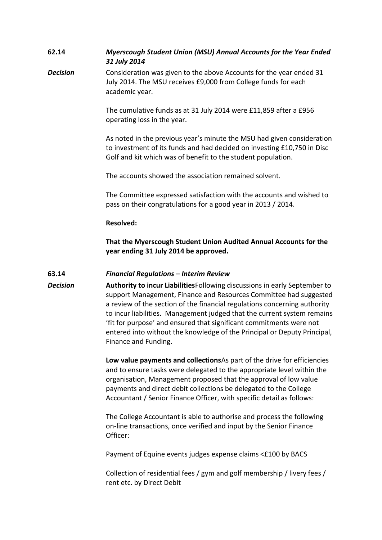| 62.14           | Myerscough Student Union (MSU) Annual Accounts for the Year Ended<br>31 July 2014                                                                                                                                                                                                                                                                                                                                                                                                  |  |  |
|-----------------|------------------------------------------------------------------------------------------------------------------------------------------------------------------------------------------------------------------------------------------------------------------------------------------------------------------------------------------------------------------------------------------------------------------------------------------------------------------------------------|--|--|
| <b>Decision</b> | Consideration was given to the above Accounts for the year ended 31<br>July 2014. The MSU receives £9,000 from College funds for each<br>academic year.                                                                                                                                                                                                                                                                                                                            |  |  |
|                 | The cumulative funds as at 31 July 2014 were £11,859 after a £956<br>operating loss in the year.                                                                                                                                                                                                                                                                                                                                                                                   |  |  |
|                 | As noted in the previous year's minute the MSU had given consideration<br>to investment of its funds and had decided on investing £10,750 in Disc<br>Golf and kit which was of benefit to the student population.                                                                                                                                                                                                                                                                  |  |  |
|                 | The accounts showed the association remained solvent.                                                                                                                                                                                                                                                                                                                                                                                                                              |  |  |
|                 | The Committee expressed satisfaction with the accounts and wished to<br>pass on their congratulations for a good year in 2013 / 2014.                                                                                                                                                                                                                                                                                                                                              |  |  |
|                 | <b>Resolved:</b>                                                                                                                                                                                                                                                                                                                                                                                                                                                                   |  |  |
|                 | That the Myerscough Student Union Audited Annual Accounts for the<br>year ending 31 July 2014 be approved.                                                                                                                                                                                                                                                                                                                                                                         |  |  |
| 63.14           | <b>Financial Regulations - Interim Review</b>                                                                                                                                                                                                                                                                                                                                                                                                                                      |  |  |
| <b>Decision</b> | Authority to incur Liabilities Following discussions in early September to<br>support Management, Finance and Resources Committee had suggested<br>a review of the section of the financial regulations concerning authority<br>to incur liabilities. Management judged that the current system remains<br>'fit for purpose' and ensured that significant commitments were not<br>entered into without the knowledge of the Principal or Deputy Principal,<br>Finance and Funding. |  |  |
|                 | Low value payments and collections As part of the drive for efficiencies<br>and to ensure tasks were delegated to the appropriate level within the<br>organisation, Management proposed that the approval of low value<br>payments and direct debit collections be delegated to the College<br>Accountant / Senior Finance Officer, with specific detail as follows:                                                                                                               |  |  |
|                 | The College Accountant is able to authorise and process the following<br>on-line transactions, once verified and input by the Senior Finance<br>Officer:                                                                                                                                                                                                                                                                                                                           |  |  |
|                 | Payment of Equine events judges expense claims <£100 by BACS                                                                                                                                                                                                                                                                                                                                                                                                                       |  |  |
|                 | Collection of residential fees / gym and golf membership / livery fees /<br>rent etc. by Direct Debit                                                                                                                                                                                                                                                                                                                                                                              |  |  |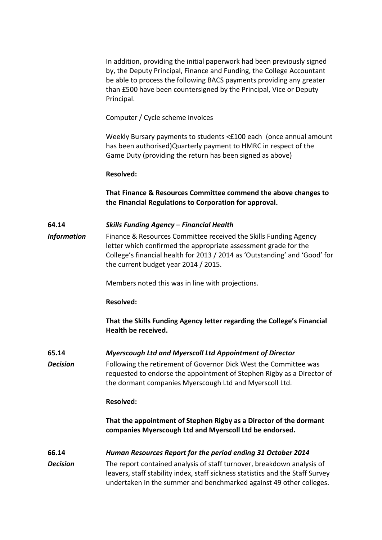In addition, providing the initial paperwork had been previously signed by, the Deputy Principal, Finance and Funding, the College Accountant be able to process the following BACS payments providing any greater than £500 have been countersigned by the Principal, Vice or Deputy Principal.

Computer / Cycle scheme invoices

Weekly Bursary payments to students <£100 each (once annual amount has been authorised)Quarterly payment to HMRC in respect of the Game Duty (providing the return has been signed as above)

### **Resolved:**

**That Finance & Resources Committee commend the above changes to the Financial Regulations to Corporation for approval.**

# **64.14** *Skills Funding Agency – Financial Health*

**Information** Finance & Resources Committee received the Skills Funding Agency letter which confirmed the appropriate assessment grade for the College's financial health for 2013 / 2014 as 'Outstanding' and 'Good' for the current budget year 2014 / 2015.

Members noted this was in line with projections.

## **Resolved:**

**That the Skills Funding Agency letter regarding the College's Financial Health be received.**

## **65.14** *Myerscough Ltd and Myerscoll Ltd Appointment of Director*

**Decision** Following the retirement of Governor Dick West the Committee was requested to endorse the appointment of Stephen Rigby as a Director of the dormant companies Myerscough Ltd and Myerscoll Ltd.

### **Resolved:**

**That the appointment of Stephen Rigby as a Director of the dormant companies Myerscough Ltd and Myerscoll Ltd be endorsed.**

# **66.14** *Human Resources Report for the period ending 31 October 2014*

*Decision* The report contained analysis of staff turnover, breakdown analysis of leavers, staff stability index, staff sickness statistics and the Staff Survey undertaken in the summer and benchmarked against 49 other colleges.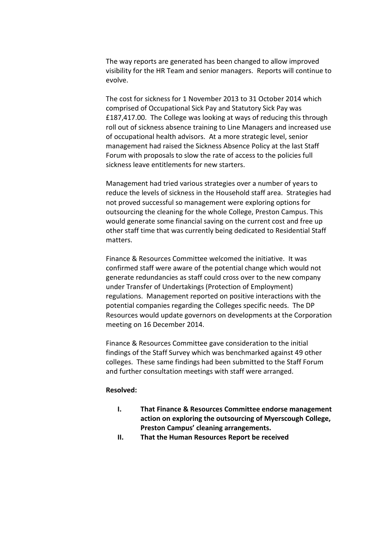The way reports are generated has been changed to allow improved visibility for the HR Team and senior managers. Reports will continue to evolve.

The cost for sickness for 1 November 2013 to 31 October 2014 which comprised of Occupational Sick Pay and Statutory Sick Pay was £187,417.00. The College was looking at ways of reducing this through roll out of sickness absence training to Line Managers and increased use of occupational health advisors. At a more strategic level, senior management had raised the Sickness Absence Policy at the last Staff Forum with proposals to slow the rate of access to the policies full sickness leave entitlements for new starters.

Management had tried various strategies over a number of years to reduce the levels of sickness in the Household staff area. Strategies had not proved successful so management were exploring options for outsourcing the cleaning for the whole College, Preston Campus. This would generate some financial saving on the current cost and free up other staff time that was currently being dedicated to Residential Staff matters.

Finance & Resources Committee welcomed the initiative. It was confirmed staff were aware of the potential change which would not generate redundancies as staff could cross over to the new company under Transfer of Undertakings (Protection of Employment) regulations. Management reported on positive interactions with the potential companies regarding the Colleges specific needs. The DP Resources would update governors on developments at the Corporation meeting on 16 December 2014.

Finance & Resources Committee gave consideration to the initial findings of the Staff Survey which was benchmarked against 49 other colleges. These same findings had been submitted to the Staff Forum and further consultation meetings with staff were arranged.

### **Resolved:**

- **I. That Finance & Resources Committee endorse management action on exploring the outsourcing of Myerscough College, Preston Campus' cleaning arrangements.**
- **II. That the Human Resources Report be received**